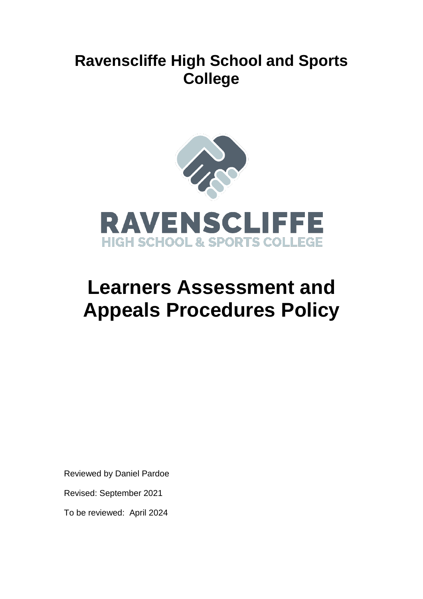# **Ravenscliffe High School and Sports College**



# **Learners Assessment and Appeals Procedures Policy**

Reviewed by Daniel Pardoe

Revised: September 2021

To be reviewed: April 2024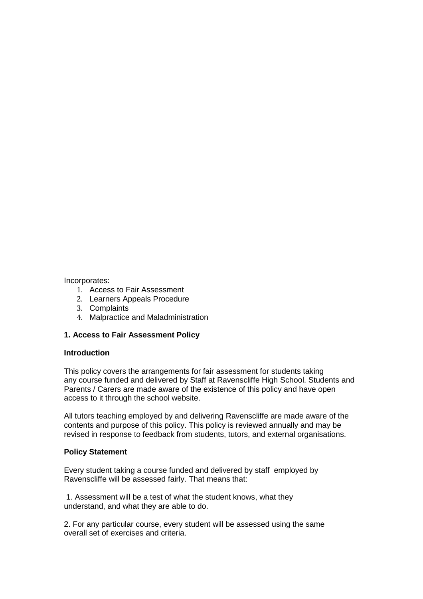### Incorporates:

- 1. Access to Fair Assessment
- 2. Learners Appeals Procedure
- 3. Complaints
- 4. Malpractice and Maladministration

# **1. Access to Fair Assessment Policy**

### **Introduction**

This policy covers the arrangements for fair assessment for students taking any course funded and delivered by Staff at Ravenscliffe High School. Students and Parents / Carers are made aware of the existence of this policy and have open access to it through the school website.

All tutors teaching employed by and delivering Ravenscliffe are made aware of the contents and purpose of this policy. This policy is reviewed annually and may be revised in response to feedback from students, tutors, and external organisations.

#### **Policy Statement**

Every student taking a course funded and delivered by staff employed by Ravenscliffe will be assessed fairly. That means that:

1. Assessment will be a test of what the student knows, what they understand, and what they are able to do.

2. For any particular course, every student will be assessed using the same overall set of exercises and criteria.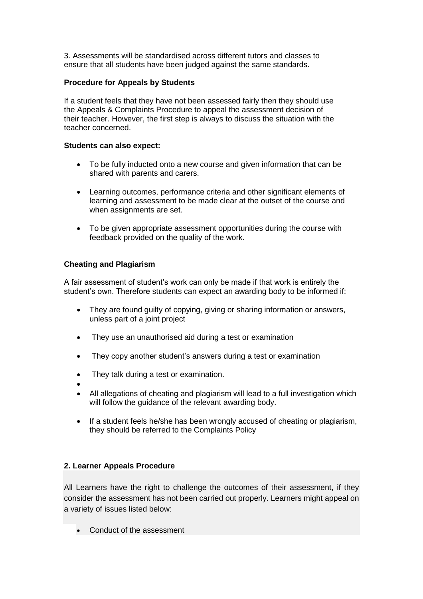3. Assessments will be standardised across different tutors and classes to ensure that all students have been judged against the same standards.

## **Procedure for Appeals by Students**

If a student feels that they have not been assessed fairly then they should use the Appeals & Complaints Procedure to appeal the assessment decision of their teacher. However, the first step is always to discuss the situation with the teacher concerned.

#### **Students can also expect:**

- To be fully inducted onto a new course and given information that can be shared with parents and carers.
- Learning outcomes, performance criteria and other significant elements of learning and assessment to be made clear at the outset of the course and when assignments are set.
- To be given appropriate assessment opportunities during the course with feedback provided on the quality of the work.

# **Cheating and Plagiarism**

A fair assessment of student's work can only be made if that work is entirely the student's own. Therefore students can expect an awarding body to be informed if:

- They are found guilty of copying, giving or sharing information or answers, unless part of a joint project
- They use an unauthorised aid during a test or examination
- They copy another student's answers during a test or examination
- They talk during a test or examination.
- $\bullet$
- All allegations of cheating and plagiarism will lead to a full investigation which will follow the guidance of the relevant awarding body.
- If a student feels he/she has been wrongly accused of cheating or plagiarism, they should be referred to the Complaints Policy

# **2. Learner Appeals Procedure**

All Learners have the right to challenge the outcomes of their assessment, if they consider the assessment has not been carried out properly. Learners might appeal on a variety of issues listed below:

• Conduct of the assessment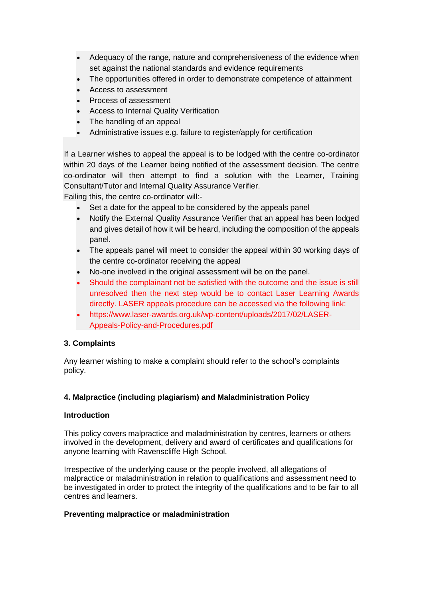- Adequacy of the range, nature and comprehensiveness of the evidence when set against the national standards and evidence requirements
- The opportunities offered in order to demonstrate competence of attainment
- Access to assessment
- Process of assessment
- Access to Internal Quality Verification
- The handling of an appeal
- Administrative issues e.g. failure to register/apply for certification

If a Learner wishes to appeal the appeal is to be lodged with the centre co-ordinator within 20 days of the Learner being notified of the assessment decision. The centre co-ordinator will then attempt to find a solution with the Learner, Training Consultant/Tutor and Internal Quality Assurance Verifier.

Failing this, the centre co-ordinator will:-

- Set a date for the appeal to be considered by the appeals panel
- Notify the External Quality Assurance Verifier that an appeal has been lodged and gives detail of how it will be heard, including the composition of the appeals panel.
- The appeals panel will meet to consider the appeal within 30 working days of the centre co-ordinator receiving the appeal
- No-one involved in the original assessment will be on the panel.
- Should the complainant not be satisfied with the outcome and the issue is still unresolved then the next step would be to contact Laser Learning Awards directly. LASER appeals procedure can be accessed via the following link:
- https://www.laser-awards.org.uk/wp-content/uploads/2017/02/LASER-Appeals-Policy-and-Procedures.pdf

# **3. Complaints**

Any learner wishing to make a complaint should refer to the school's complaints policy.

# **4. Malpractice (including plagiarism) and Maladministration Policy**

#### **Introduction**

This policy covers malpractice and maladministration by centres, learners or others involved in the development, delivery and award of certificates and qualifications for anyone learning with Ravenscliffe High School.

Irrespective of the underlying cause or the people involved, all allegations of malpractice or maladministration in relation to qualifications and assessment need to be investigated in order to protect the integrity of the qualifications and to be fair to all centres and learners.

# **Preventing malpractice or maladministration**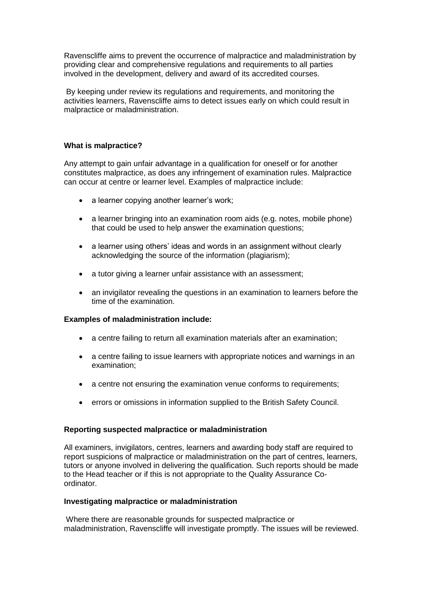Ravenscliffe aims to prevent the occurrence of malpractice and maladministration by providing clear and comprehensive regulations and requirements to all parties involved in the development, delivery and award of its accredited courses.

By keeping under review its regulations and requirements, and monitoring the activities learners, Ravenscliffe aims to detect issues early on which could result in malpractice or maladministration.

## **What is malpractice?**

Any attempt to gain unfair advantage in a qualification for oneself or for another constitutes malpractice, as does any infringement of examination rules. Malpractice can occur at centre or learner level. Examples of malpractice include:

- a learner copying another learner's work;
- a learner bringing into an examination room aids (e.g. notes, mobile phone) that could be used to help answer the examination questions;
- a learner using others' ideas and words in an assignment without clearly acknowledging the source of the information (plagiarism);
- a tutor giving a learner unfair assistance with an assessment;
- an invigilator revealing the questions in an examination to learners before the time of the examination.

#### **Examples of maladministration include:**

- a centre failing to return all examination materials after an examination;
- a centre failing to issue learners with appropriate notices and warnings in an examination;
- a centre not ensuring the examination venue conforms to requirements;
- errors or omissions in information supplied to the British Safety Council.

#### **Reporting suspected malpractice or maladministration**

All examiners, invigilators, centres, learners and awarding body staff are required to report suspicions of malpractice or maladministration on the part of centres, learners, tutors or anyone involved in delivering the qualification. Such reports should be made to the Head teacher or if this is not appropriate to the Quality Assurance Coordinator.

#### **Investigating malpractice or maladministration**

Where there are reasonable grounds for suspected malpractice or maladministration, Ravenscliffe will investigate promptly. The issues will be reviewed.